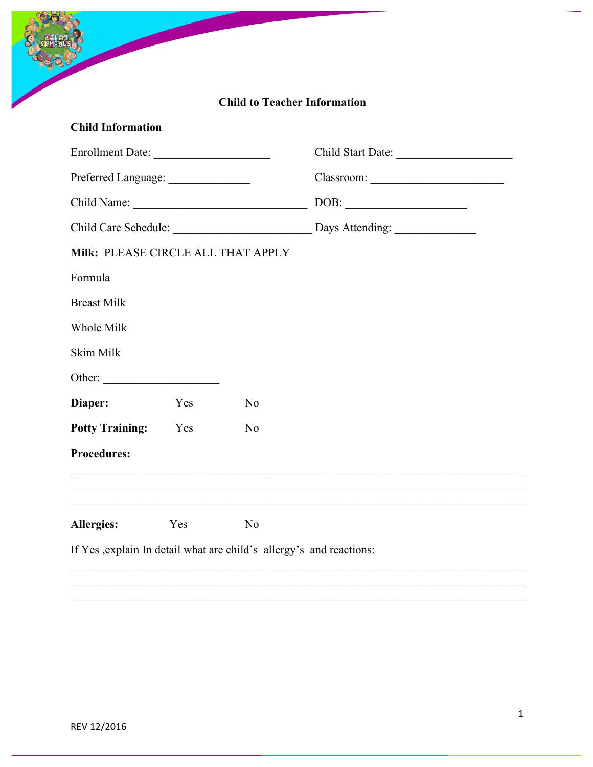|                                      |     |                | <b>Child to Teacher Information</b>               |
|--------------------------------------|-----|----------------|---------------------------------------------------|
| <b>Child Information</b>             |     |                |                                                   |
| Enrollment Date:                     |     |                |                                                   |
| Preferred Language: ________________ |     |                |                                                   |
|                                      |     |                | $\boxed{\text{DOB:}\; \underline{\hspace{2.5cm}}$ |
|                                      |     |                |                                                   |
| Milk: PLEASE CIRCLE ALL THAT APPLY   |     |                |                                                   |
| Formula                              |     |                |                                                   |
| <b>Breast Milk</b>                   |     |                |                                                   |
| Whole Milk                           |     |                |                                                   |
| Skim Milk                            |     |                |                                                   |
|                                      |     |                |                                                   |
| Diaper:                              | Yes | N <sub>o</sub> |                                                   |
| <b>Potty Training:</b>               | Yes | N <sub>0</sub> |                                                   |
| <b>Procedures:</b>                   |     |                |                                                   |
|                                      |     |                |                                                   |
|                                      |     |                |                                                   |
|                                      | Yes | N <sub>o</sub> |                                                   |

 $\_$  , and the contribution of the contribution of the contribution of the contribution of  $\mathcal{L}_\text{max}$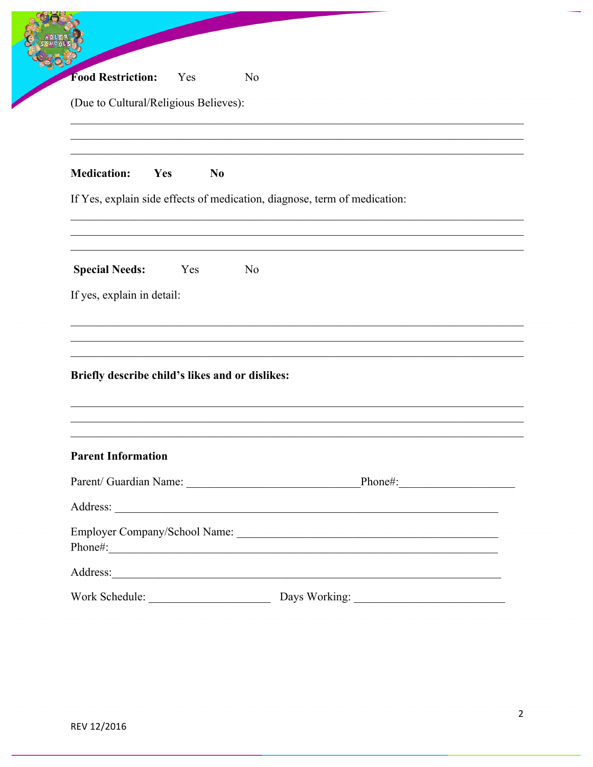| <b>Food Restriction:</b><br>Yes                            | N <sub>0</sub>                                                            |
|------------------------------------------------------------|---------------------------------------------------------------------------|
| (Due to Cultural/Religious Believes):                      |                                                                           |
| <b>Medication:</b><br>Yes<br>N <sub>0</sub>                |                                                                           |
|                                                            | If Yes, explain side effects of medication, diagnose, term of medication: |
| <b>Special Needs:</b><br>Yes<br>If yes, explain in detail: | N <sub>0</sub>                                                            |
| Briefly describe child's likes and or dislikes:            |                                                                           |
| <b>Parent Information</b>                                  |                                                                           |
|                                                            |                                                                           |
|                                                            |                                                                           |
|                                                            |                                                                           |
|                                                            | Phone#:                                                                   |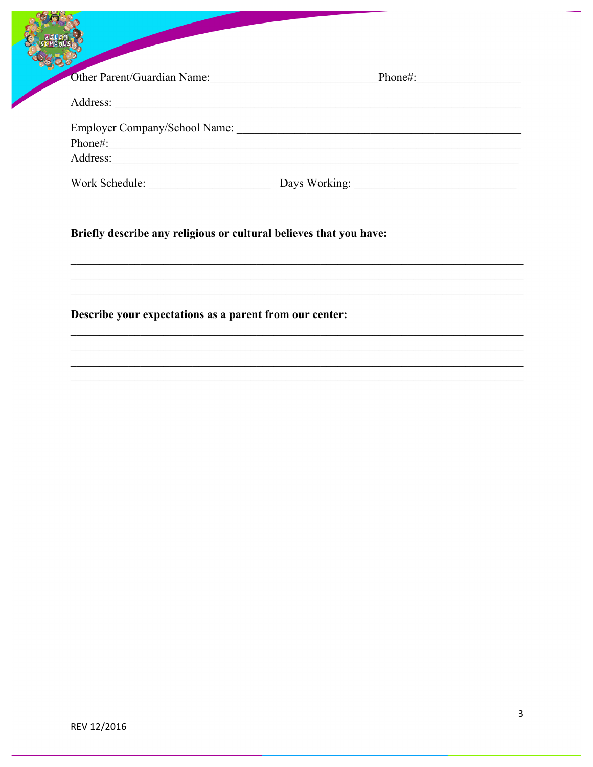| 20LSI                                |               |
|--------------------------------------|---------------|
| Other Parent/Guardian Name:          | Phone#:       |
| Address:                             |               |
| <b>Employer Company/School Name:</b> |               |
| Phone#:                              |               |
| Address:                             |               |
| Work Schedule:                       | Days Working: |

<u> 1989 - Johann John Stone, mars an deus Amerikaansk kommunister (</u>

Briefly describe any religious or cultural believes that you have:

Describe your expectations as a parent from our center: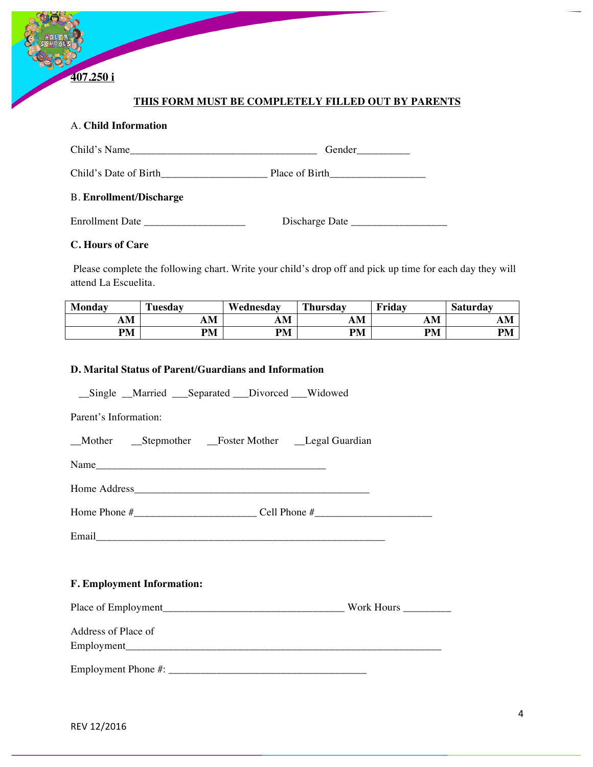

## A. **Child Information**

**407.250 i**

| Child's Name                   | Gender         |
|--------------------------------|----------------|
| Child's Date of Birth          | Place of Birth |
| <b>B. Enrollment/Discharge</b> |                |
| <b>Enrollment Date</b>         | Discharge Date |

### **C. Hours of Care**

Please complete the following chart. Write your child's drop off and pick up time for each day they will attend La Escuelita.

| Monday    | Tuesday | Wednesday | Thursday  | Friday    | <b>Saturday</b> |
|-----------|---------|-----------|-----------|-----------|-----------------|
| AM        | AМ      | AM        | AM        | AM        | AM              |
| <b>PM</b> | PM      | <b>PM</b> | <b>PM</b> | <b>PM</b> | <b>PM</b>       |

#### **D. Marital Status of Parent/Guardians and Information**

\_\_Single \_\_Married \_\_\_Separated \_\_\_Divorced \_\_\_Widowed

Parent's Information:

| Mother | $S$ tepmother | Foster Mother | _Legal Guardian |
|--------|---------------|---------------|-----------------|
|--------|---------------|---------------|-----------------|

Name

Home Address\_\_\_\_\_\_\_\_\_\_\_\_\_\_\_\_\_\_\_\_\_\_\_\_\_\_\_\_\_\_\_\_\_\_\_\_\_\_\_\_\_\_\_\_

Home Phone #\_\_\_\_\_\_\_\_\_\_\_\_\_\_\_\_\_\_\_\_\_\_\_ Cell Phone #\_\_\_\_\_\_\_\_\_\_\_\_\_\_\_\_\_\_\_\_\_\_

|--|

## **F. Employment Information:**

| Place of Employment | Work Hours |
|---------------------|------------|
|                     |            |

Address of Place of Employment\_\_\_\_\_\_\_\_\_\_\_\_\_\_\_\_\_\_\_\_\_\_\_\_\_\_\_\_\_\_\_\_\_\_\_\_\_\_\_\_\_\_\_\_\_\_\_\_\_\_\_\_\_\_\_\_\_\_\_

Employment Phone #: \_\_\_\_\_\_\_\_\_\_\_\_\_\_\_\_\_\_\_\_\_\_\_\_\_\_\_\_\_\_\_\_\_\_\_\_\_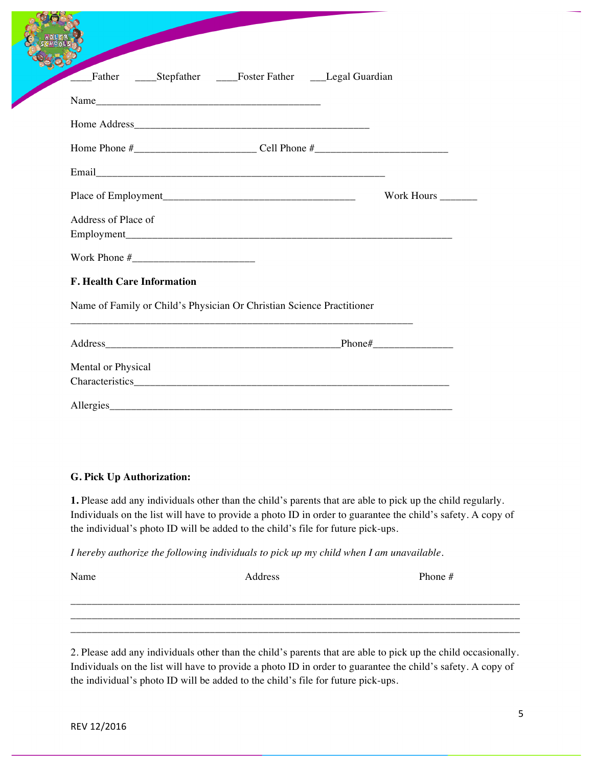|                                   | Father _____Stepfather _____Foster Father ____Legal Guardian          |
|-----------------------------------|-----------------------------------------------------------------------|
|                                   |                                                                       |
|                                   |                                                                       |
|                                   |                                                                       |
|                                   |                                                                       |
|                                   | Work Hours                                                            |
| Address of Place of               |                                                                       |
|                                   |                                                                       |
|                                   |                                                                       |
| <b>F. Health Care Information</b> |                                                                       |
|                                   | Name of Family or Child's Physician Or Christian Science Practitioner |
|                                   |                                                                       |
| Mental or Physical                |                                                                       |
|                                   |                                                                       |

#### **G. Pick Up Authorization:**

**CONTROLLER** 

**1.** Please add any individuals other than the child's parents that are able to pick up the child regularly. Individuals on the list will have to provide a photo ID in order to guarantee the child's safety. A copy of the individual's photo ID will be added to the child's file for future pick-ups.

*I hereby authorize the following individuals to pick up my child when I am unavailable.*

| Name | Address | Phone $#$ |
|------|---------|-----------|
|      |         |           |
|      |         |           |
|      |         |           |

2. Please add any individuals other than the child's parents that are able to pick up the child occasionally. Individuals on the list will have to provide a photo ID in order to guarantee the child's safety. A copy of the individual's photo ID will be added to the child's file for future pick-ups.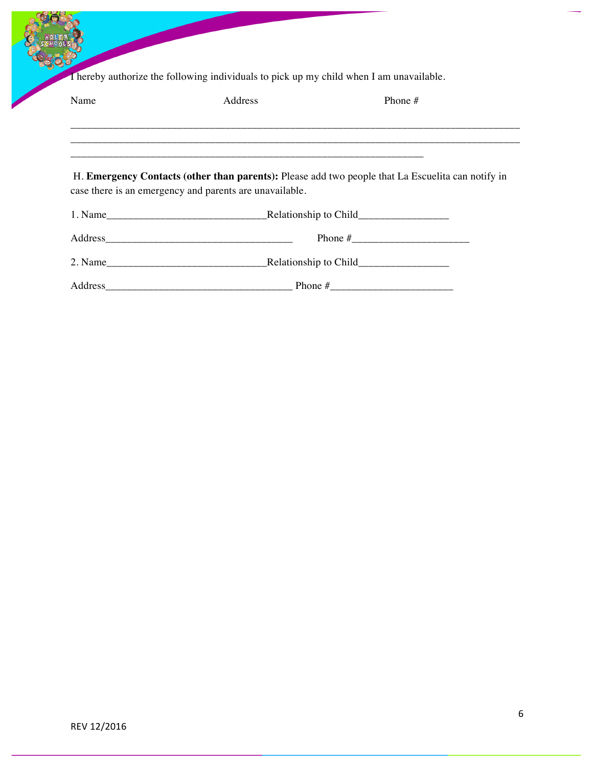I hereby authorize the following individuals to pick up my child when I am unavailable.

| Name | Address                                                 | Phone $#$                                                                                         |  |
|------|---------------------------------------------------------|---------------------------------------------------------------------------------------------------|--|
|      |                                                         |                                                                                                   |  |
|      | case there is an emergency and parents are unavailable. | H. Emergency Contacts (other than parents): Please add two people that La Escuelita can notify in |  |
|      |                                                         |                                                                                                   |  |
|      |                                                         |                                                                                                   |  |
|      |                                                         |                                                                                                   |  |
|      |                                                         |                                                                                                   |  |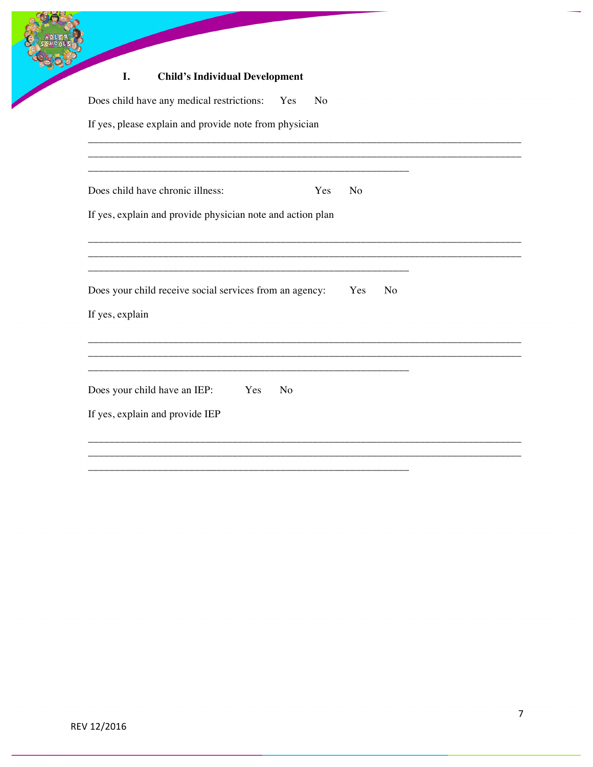#### I. **Child's Individual Development**

| Does child have any medical restrictions: Yes<br>No                                   |                |    |
|---------------------------------------------------------------------------------------|----------------|----|
| If yes, please explain and provide note from physician                                |                |    |
|                                                                                       |                |    |
| Does child have chronic illness:<br>Yes                                               | N <sub>o</sub> |    |
| If yes, explain and provide physician note and action plan                            |                |    |
|                                                                                       |                |    |
| Does your child receive social services from an agency:                               | Yes            | No |
| If yes, explain                                                                       |                |    |
|                                                                                       |                |    |
|                                                                                       |                |    |
| Does your child have an IEP: Yes<br>N <sub>o</sub><br>If yes, explain and provide IEP |                |    |
|                                                                                       |                |    |
|                                                                                       |                |    |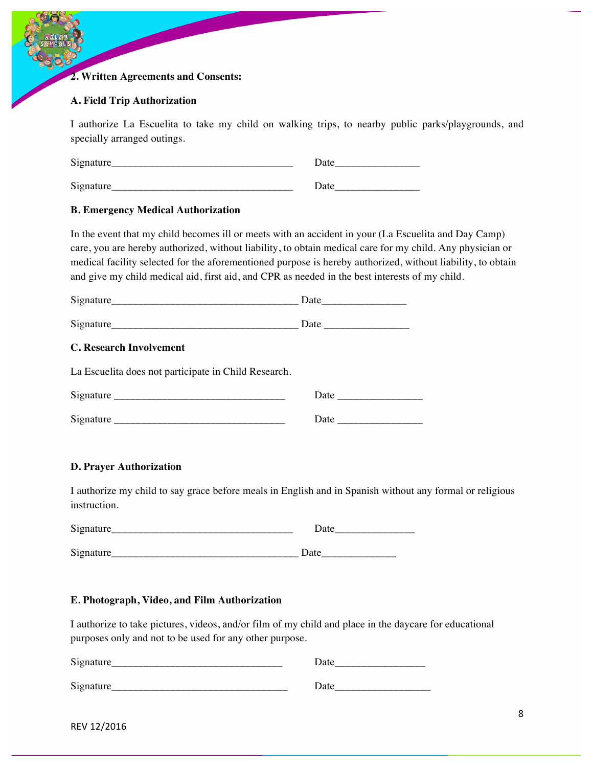### **2. Written Agreements and Consents:**

#### **A. Field Trip Authorization**

I authorize La Escuelita to take my child on walking trips, to nearby public parks/playgrounds, and specially arranged outings.

| Sionature<br>ື<br>_______________<br>____________________ | Jate<br>__________________  |
|-----------------------------------------------------------|-----------------------------|
| Sionature<br>ື                                            | Jate<br>___________________ |

#### **B. Emergency Medical Authorization**

In the event that my child becomes ill or meets with an accident in your (La Escuelita and Day Camp) care, you are hereby authorized, without liability, to obtain medical care for my child. Any physician or medical facility selected for the aforementioned purpose is hereby authorized, without liability, to obtain and give my child medical aid, first aid, and CPR as needed in the best interests of my child.

| C. Research Involvement                              |  |
|------------------------------------------------------|--|
| La Escuelita does not participate in Child Research. |  |
|                                                      |  |
|                                                      |  |

#### **D. Prayer Authorization**

I authorize my child to say grace before meals in English and in Spanish without any formal or religious instruction.

| Signature<br>ື<br>_____ | __________________<br>____________________ |
|-------------------------|--------------------------------------------|
|                         |                                            |
| Signatu.                | $-1$<br>________________                   |

#### **E. Photograph, Video, and Film Authorization**

I authorize to take pictures, videos, and/or film of my child and place in the daycare for educational purposes only and not to be used for any other purpose.

| Signature        | Date |
|------------------|------|
| <b>Signature</b> | Date |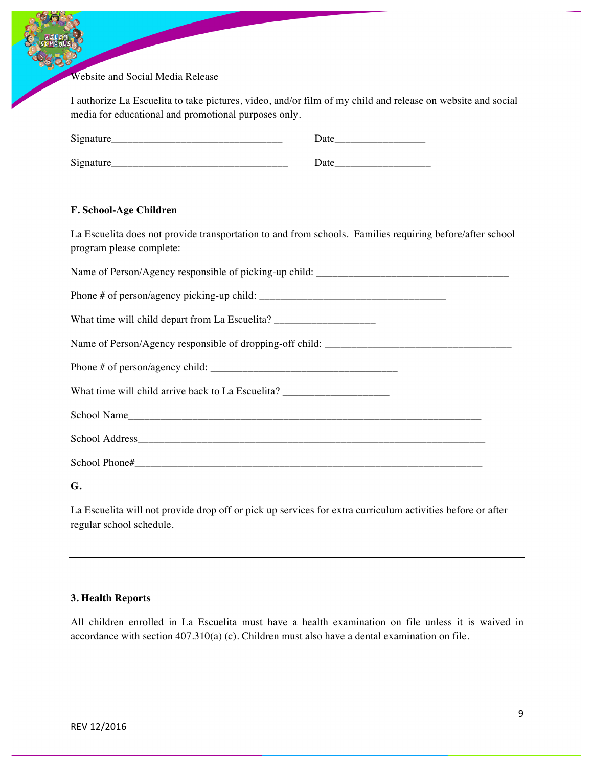Website and Social Media Release

I authorize La Escuelita to take pictures, video, and/or film of my child and release on website and social media for educational and promotional purposes only.

| Signature            | Jate              |
|----------------------|-------------------|
| Signature            | Date              |
| ____________________ | _________________ |

#### **F. School-Age Children**

La Escuelita does not provide transportation to and from schools. Families requiring before/after school program please complete:

| What time will child depart from La Escuelita? __________________________________ |  |
|-----------------------------------------------------------------------------------|--|
|                                                                                   |  |
|                                                                                   |  |
| What time will child arrive back to La Escuelita? _______________________________ |  |
|                                                                                   |  |
|                                                                                   |  |
|                                                                                   |  |

**G.** 

La Escuelita will not provide drop off or pick up services for extra curriculum activities before or after regular school schedule.

#### **3. Health Reports**

All children enrolled in La Escuelita must have a health examination on file unless it is waived in accordance with section 407.310(a) (c). Children must also have a dental examination on file.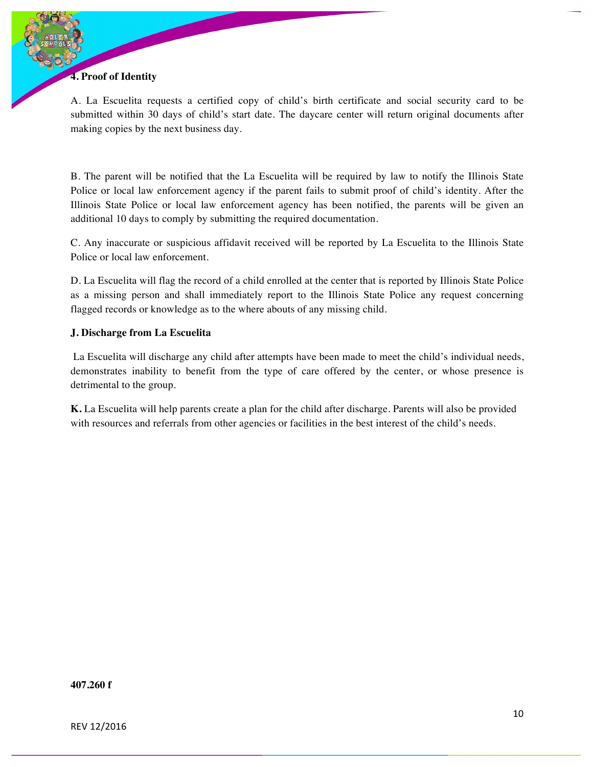## **4. Proof of Identity**

A. La Escuelita requests a certified copy of child's birth certificate and social security card to be submitted within 30 days of child's start date. The daycare center will return original documents after making copies by the next business day.

B. The parent will be notified that the La Escuelita will be required by law to notify the Illinois State Police or local law enforcement agency if the parent fails to submit proof of child's identity. After the Illinois State Police or local law enforcement agency has been notified, the parents will be given an additional 10 days to comply by submitting the required documentation.

C. Any inaccurate or suspicious affidavit received will be reported by La Escuelita to the Illinois State Police or local law enforcement.

D. La Escuelita will flag the record of a child enrolled at the center that is reported by Illinois State Police as a missing person and shall immediately report to the Illinois State Police any request concerning flagged records or knowledge as to the where abouts of any missing child.

### **J. Discharge from La Escuelita**

La Escuelita will discharge any child after attempts have been made to meet the child's individual needs, demonstrates inability to benefit from the type of care offered by the center, or whose presence is detrimental to the group.

**K.** La Escuelita will help parents create a plan for the child after discharge. Parents will also be provided with resources and referrals from other agencies or facilities in the best interest of the child's needs.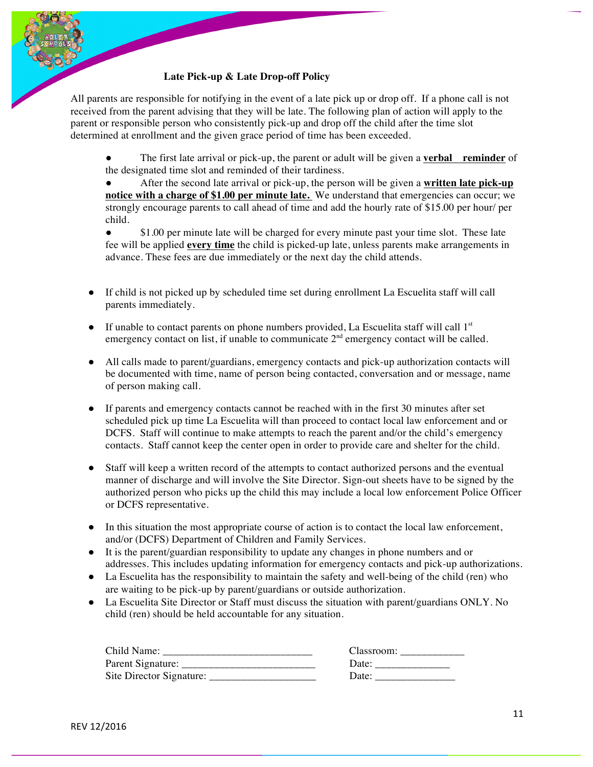### **Late Pick-up & Late Drop-off Policy**

All parents are responsible for notifying in the event of a late pick up or drop off. If a phone call is not received from the parent advising that they will be late. The following plan of action will apply to the parent or responsible person who consistently pick-up and drop off the child after the time slot determined at enrollment and the given grace period of time has been exceeded.

The first late arrival or pick-up, the parent or adult will be given a **verbal** reminder of the designated time slot and reminded of their tardiness.

● After the second late arrival or pick-up, the person will be given a **written late pick-up notice with a charge of \$1.00 per minute late.** We understand that emergencies can occur; we strongly encourage parents to call ahead of time and add the hourly rate of \$15.00 per hour/ per child.

• \$1.00 per minute late will be charged for every minute past your time slot. These late fee will be applied **every time** the child is picked-up late, unless parents make arrangements in advance. These fees are due immediately or the next day the child attends.

- If child is not picked up by scheduled time set during enrollment La Escuelita staff will call parents immediately.
- $\bullet$  If unable to contact parents on phone numbers provided, La Escuelita staff will call  $1<sup>st</sup>$ emergency contact on list, if unable to communicate  $2<sup>nd</sup>$  emergency contact will be called.
- All calls made to parent/guardians, emergency contacts and pick-up authorization contacts will be documented with time, name of person being contacted, conversation and or message, name of person making call.
- If parents and emergency contacts cannot be reached with in the first 30 minutes after set scheduled pick up time La Escuelita will than proceed to contact local law enforcement and or DCFS. Staff will continue to make attempts to reach the parent and/or the child's emergency contacts. Staff cannot keep the center open in order to provide care and shelter for the child.
- Staff will keep a written record of the attempts to contact authorized persons and the eventual manner of discharge and will involve the Site Director. Sign-out sheets have to be signed by the authorized person who picks up the child this may include a local low enforcement Police Officer or DCFS representative.
- In this situation the most appropriate course of action is to contact the local law enforcement, and/or (DCFS) Department of Children and Family Services.
- It is the parent/guardian responsibility to update any changes in phone numbers and or addresses. This includes updating information for emergency contacts and pick-up authorizations.
- La Escuelita has the responsibility to maintain the safety and well-being of the child (ren) who are waiting to be pick-up by parent/guardians or outside authorization.
- La Escuelita Site Director or Staff must discuss the situation with parent/guardians ONLY. No child (ren) should be held accountable for any situation.

| Child Name:              | Classroom:     |
|--------------------------|----------------|
| Parent Signature:        | $\Delta$ Date: |
| Site Director Signature: | Date:          |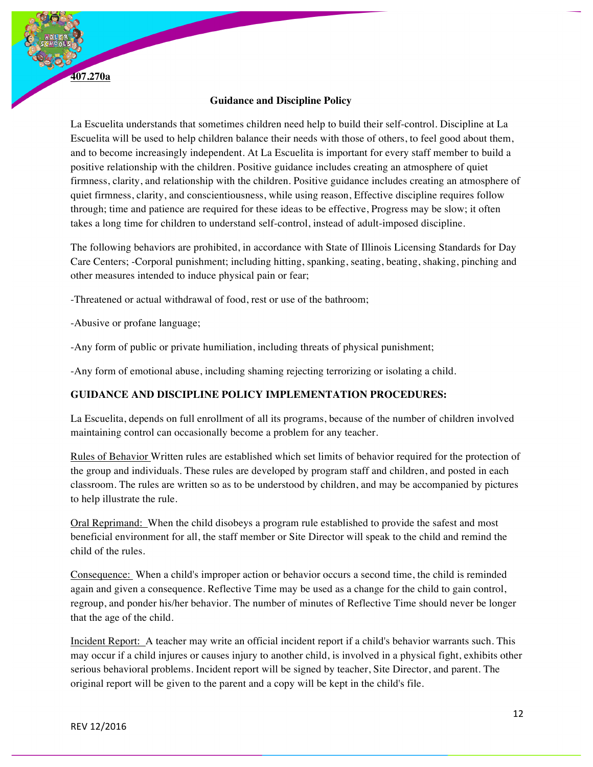**407.270a** 

#### **Guidance and Discipline Policy**

La Escuelita understands that sometimes children need help to build their self-control. Discipline at La Escuelita will be used to help children balance their needs with those of others, to feel good about them, and to become increasingly independent. At La Escuelita is important for every staff member to build a positive relationship with the children. Positive guidance includes creating an atmosphere of quiet firmness, clarity, and relationship with the children. Positive guidance includes creating an atmosphere of quiet firmness, clarity, and conscientiousness, while using reason, Effective discipline requires follow through; time and patience are required for these ideas to be effective, Progress may be slow; it often takes a long time for children to understand self-control, instead of adult-imposed discipline.

The following behaviors are prohibited, in accordance with State of Illinois Licensing Standards for Day Care Centers; -Corporal punishment; including hitting, spanking, seating, beating, shaking, pinching and other measures intended to induce physical pain or fear;

-Threatened or actual withdrawal of food, rest or use of the bathroom;

-Abusive or profane language;

-Any form of public or private humiliation, including threats of physical punishment;

-Any form of emotional abuse, including shaming rejecting terrorizing or isolating a child.

## **GUIDANCE AND DISCIPLINE POLICY IMPLEMENTATION PROCEDURES:**

La Escuelita, depends on full enrollment of all its programs, because of the number of children involved maintaining control can occasionally become a problem for any teacher.

Rules of Behavior Written rules are established which set limits of behavior required for the protection of the group and individuals. These rules are developed by program staff and children, and posted in each classroom. The rules are written so as to be understood by children, and may be accompanied by pictures to help illustrate the rule.

Oral Reprimand: When the child disobeys a program rule established to provide the safest and most beneficial environment for all, the staff member or Site Director will speak to the child and remind the child of the rules.

Consequence: When a child's improper action or behavior occurs a second time, the child is reminded again and given a consequence. Reflective Time may be used as a change for the child to gain control, regroup, and ponder his/her behavior. The number of minutes of Reflective Time should never be longer that the age of the child.

Incident Report: A teacher may write an official incident report if a child's behavior warrants such. This may occur if a child injures or causes injury to another child, is involved in a physical fight, exhibits other serious behavioral problems. Incident report will be signed by teacher, Site Director, and parent. The original report will be given to the parent and a copy will be kept in the child's file.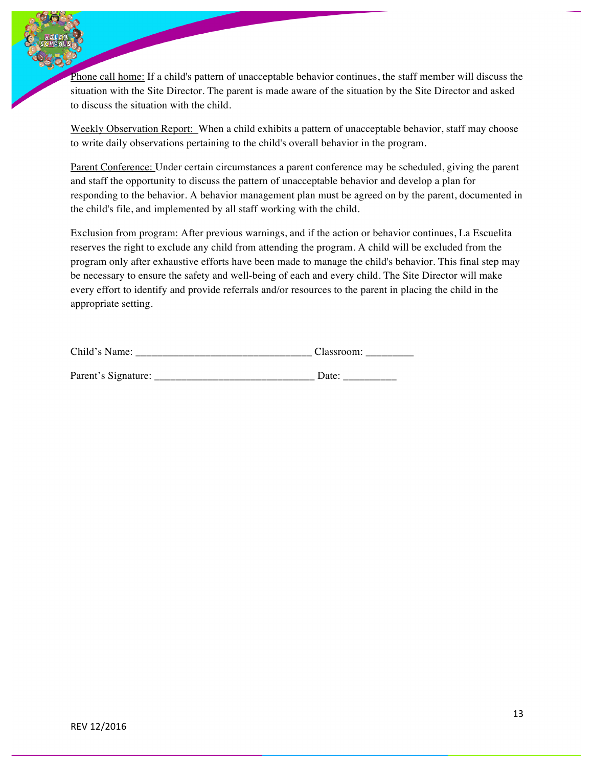Phone call home: If a child's pattern of unacceptable behavior continues, the staff member will discuss the situation with the Site Director. The parent is made aware of the situation by the Site Director and asked to discuss the situation with the child.

Weekly Observation Report: When a child exhibits a pattern of unacceptable behavior, staff may choose to write daily observations pertaining to the child's overall behavior in the program.

Parent Conference: Under certain circumstances a parent conference may be scheduled, giving the parent and staff the opportunity to discuss the pattern of unacceptable behavior and develop a plan for responding to the behavior. A behavior management plan must be agreed on by the parent, documented in the child's file, and implemented by all staff working with the child.

Exclusion from program: After previous warnings, and if the action or behavior continues, La Escuelita reserves the right to exclude any child from attending the program. A child will be excluded from the program only after exhaustive efforts have been made to manage the child's behavior. This final step may be necessary to ensure the safety and well-being of each and every child. The Site Director will make every effort to identify and provide referrals and/or resources to the parent in placing the child in the appropriate setting.

| Child's Name:       | Classroom: |  |
|---------------------|------------|--|
|                     |            |  |
| Parent's Signature: | Date:      |  |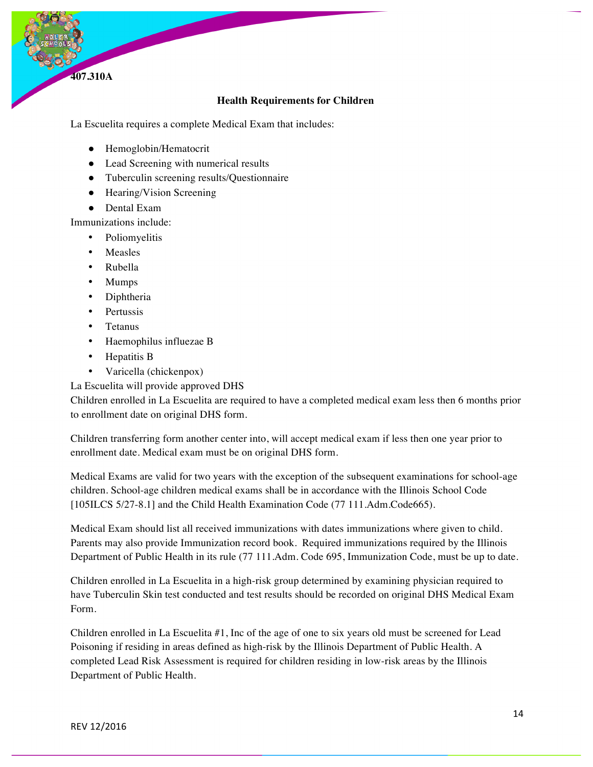**Health Requirements for Children** 

La Escuelita requires a complete Medical Exam that includes:

- Hemoglobin/Hematocrit
- Lead Screening with numerical results
- Tuberculin screening results/Questionnaire
- Hearing/Vision Screening
- Dental Exam

Immunizations include:

- Poliomyelitis
- Measles

**407.310A**

- Rubella
- Mumps
- Diphtheria
- Pertussis
- Tetanus
- Haemophilus influezae B
- Hepatitis B
- Varicella (chickenpox)
- La Escuelita will provide approved DHS

Children enrolled in La Escuelita are required to have a completed medical exam less then 6 months prior to enrollment date on original DHS form.

Children transferring form another center into, will accept medical exam if less then one year prior to enrollment date. Medical exam must be on original DHS form.

Medical Exams are valid for two years with the exception of the subsequent examinations for school-age children. School-age children medical exams shall be in accordance with the Illinois School Code [105ILCS 5/27-8.1] and the Child Health Examination Code (77 111.Adm.Code665).

Medical Exam should list all received immunizations with dates immunizations where given to child. Parents may also provide Immunization record book. Required immunizations required by the Illinois Department of Public Health in its rule (77 111.Adm. Code 695, Immunization Code, must be up to date.

Children enrolled in La Escuelita in a high-risk group determined by examining physician required to have Tuberculin Skin test conducted and test results should be recorded on original DHS Medical Exam Form.

Children enrolled in La Escuelita #1, Inc of the age of one to six years old must be screened for Lead Poisoning if residing in areas defined as high-risk by the Illinois Department of Public Health. A completed Lead Risk Assessment is required for children residing in low-risk areas by the Illinois Department of Public Health.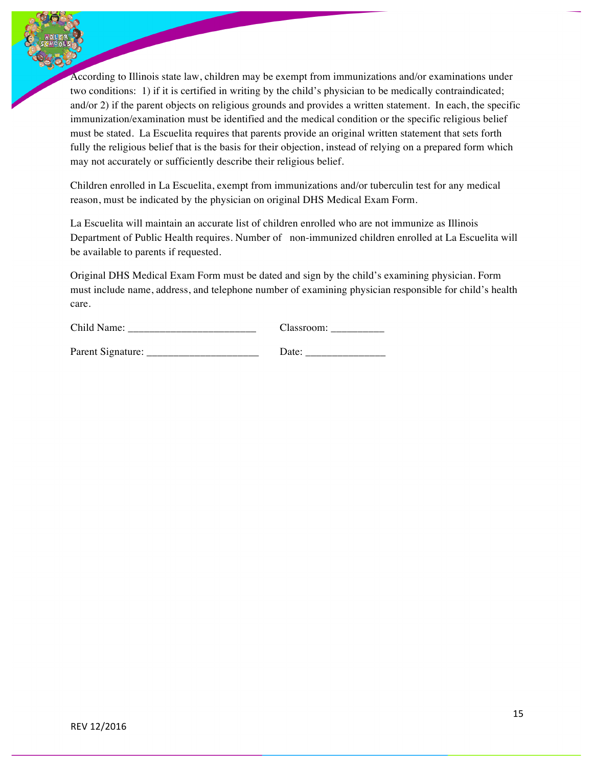According to Illinois state law, children may be exempt from immunizations and/or examinations under two conditions: 1) if it is certified in writing by the child's physician to be medically contraindicated; and/or 2) if the parent objects on religious grounds and provides a written statement. In each, the specific immunization/examination must be identified and the medical condition or the specific religious belief must be stated. La Escuelita requires that parents provide an original written statement that sets forth fully the religious belief that is the basis for their objection, instead of relying on a prepared form which may not accurately or sufficiently describe their religious belief.

Children enrolled in La Escuelita, exempt from immunizations and/or tuberculin test for any medical reason, must be indicated by the physician on original DHS Medical Exam Form.

La Escuelita will maintain an accurate list of children enrolled who are not immunize as Illinois Department of Public Health requires. Number of non-immunized children enrolled at La Escuelita will be available to parents if requested.

Original DHS Medical Exam Form must be dated and sign by the child's examining physician. Form must include name, address, and telephone number of examining physician responsible for child's health care.

| Child Name: | :Jassroom: |
|-------------|------------|
|             |            |

| Parent Signature: |  |
|-------------------|--|
|-------------------|--|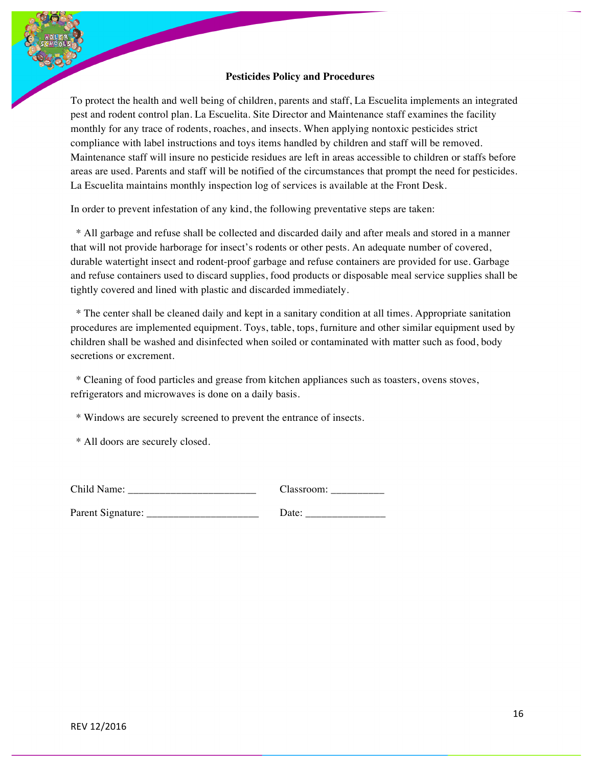#### **Pesticides Policy and Procedures**

To protect the health and well being of children, parents and staff, La Escuelita implements an integrated pest and rodent control plan. La Escuelita. Site Director and Maintenance staff examines the facility monthly for any trace of rodents, roaches, and insects. When applying nontoxic pesticides strict compliance with label instructions and toys items handled by children and staff will be removed. Maintenance staff will insure no pesticide residues are left in areas accessible to children or staffs before areas are used. Parents and staff will be notified of the circumstances that prompt the need for pesticides. La Escuelita maintains monthly inspection log of services is available at the Front Desk.

In order to prevent infestation of any kind, the following preventative steps are taken:

 \* All garbage and refuse shall be collected and discarded daily and after meals and stored in a manner that will not provide harborage for insect's rodents or other pests. An adequate number of covered, durable watertight insect and rodent-proof garbage and refuse containers are provided for use. Garbage and refuse containers used to discard supplies, food products or disposable meal service supplies shall be tightly covered and lined with plastic and discarded immediately.

 \* The center shall be cleaned daily and kept in a sanitary condition at all times. Appropriate sanitation procedures are implemented equipment. Toys, table, tops, furniture and other similar equipment used by children shall be washed and disinfected when soiled or contaminated with matter such as food, body secretions or excrement.

 \* Cleaning of food particles and grease from kitchen appliances such as toasters, ovens stoves, refrigerators and microwaves is done on a daily basis.

\* Windows are securely screened to prevent the entrance of insects.

\* All doors are securely closed.

| Child Name: | : lassroom |
|-------------|------------|
|             |            |

Parent Signature:

| Date: |  |
|-------|--|
|-------|--|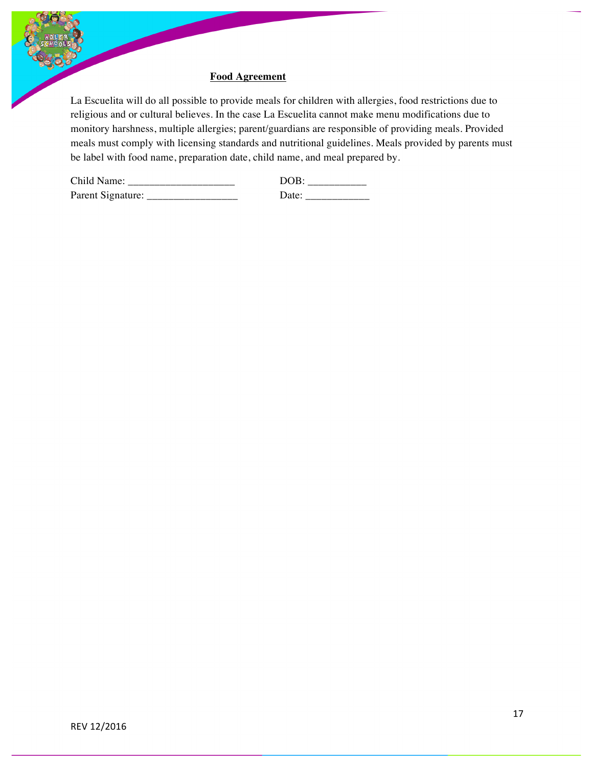#### **Food Agreement**

La Escuelita will do all possible to provide meals for children with allergies, food restrictions due to religious and or cultural believes. In the case La Escuelita cannot make menu modifications due to monitory harshness, multiple allergies; parent/guardians are responsible of providing meals. Provided meals must comply with licensing standards and nutritional guidelines. Meals provided by parents must be label with food name, preparation date, child name, and meal prepared by.

| Child Name:       |        |
|-------------------|--------|
| Parent Signature: | . Jate |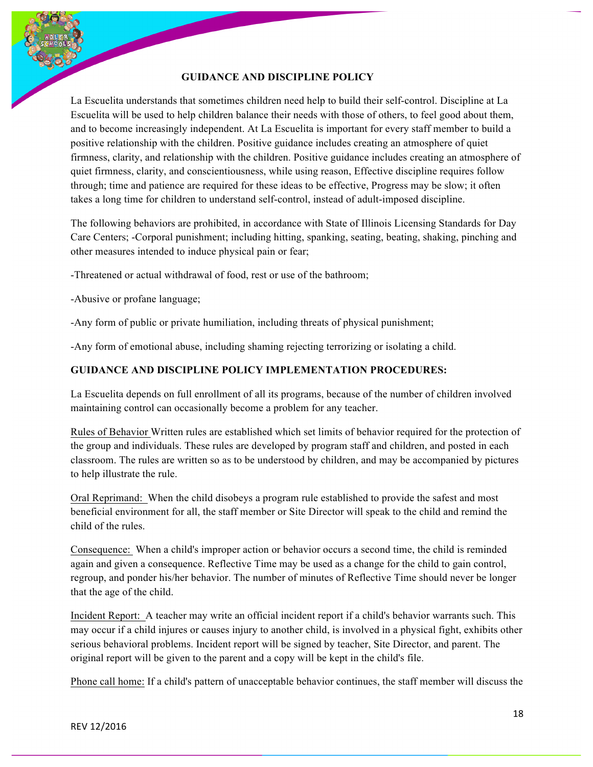### **GUIDANCE AND DISCIPLINE POLICY**

La Escuelita understands that sometimes children need help to build their self-control. Discipline at La Escuelita will be used to help children balance their needs with those of others, to feel good about them, and to become increasingly independent. At La Escuelita is important for every staff member to build a positive relationship with the children. Positive guidance includes creating an atmosphere of quiet firmness, clarity, and relationship with the children. Positive guidance includes creating an atmosphere of quiet firmness, clarity, and conscientiousness, while using reason, Effective discipline requires follow through; time and patience are required for these ideas to be effective, Progress may be slow; it often takes a long time for children to understand self-control, instead of adult-imposed discipline.

The following behaviors are prohibited, in accordance with State of Illinois Licensing Standards for Day Care Centers; -Corporal punishment; including hitting, spanking, seating, beating, shaking, pinching and other measures intended to induce physical pain or fear;

-Threatened or actual withdrawal of food, rest or use of the bathroom;

-Abusive or profane language;

-Any form of public or private humiliation, including threats of physical punishment;

-Any form of emotional abuse, including shaming rejecting terrorizing or isolating a child.

## **GUIDANCE AND DISCIPLINE POLICY IMPLEMENTATION PROCEDURES:**

La Escuelita depends on full enrollment of all its programs, because of the number of children involved maintaining control can occasionally become a problem for any teacher.

Rules of Behavior Written rules are established which set limits of behavior required for the protection of the group and individuals. These rules are developed by program staff and children, and posted in each classroom. The rules are written so as to be understood by children, and may be accompanied by pictures to help illustrate the rule.

Oral Reprimand: When the child disobeys a program rule established to provide the safest and most beneficial environment for all, the staff member or Site Director will speak to the child and remind the child of the rules.

Consequence: When a child's improper action or behavior occurs a second time, the child is reminded again and given a consequence. Reflective Time may be used as a change for the child to gain control, regroup, and ponder his/her behavior. The number of minutes of Reflective Time should never be longer that the age of the child.

Incident Report: A teacher may write an official incident report if a child's behavior warrants such. This may occur if a child injures or causes injury to another child, is involved in a physical fight, exhibits other serious behavioral problems. Incident report will be signed by teacher, Site Director, and parent. The original report will be given to the parent and a copy will be kept in the child's file.

Phone call home: If a child's pattern of unacceptable behavior continues, the staff member will discuss the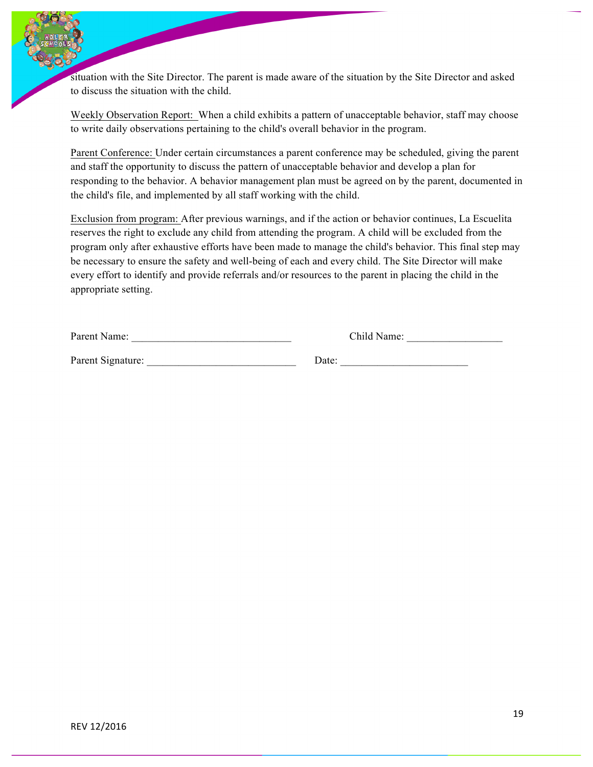situation with the Site Director. The parent is made aware of the situation by the Site Director and asked to discuss the situation with the child.

Weekly Observation Report: When a child exhibits a pattern of unacceptable behavior, staff may choose to write daily observations pertaining to the child's overall behavior in the program.

Parent Conference: Under certain circumstances a parent conference may be scheduled, giving the parent and staff the opportunity to discuss the pattern of unacceptable behavior and develop a plan for responding to the behavior. A behavior management plan must be agreed on by the parent, documented in the child's file, and implemented by all staff working with the child.

Exclusion from program: After previous warnings, and if the action or behavior continues, La Escuelita reserves the right to exclude any child from attending the program. A child will be excluded from the program only after exhaustive efforts have been made to manage the child's behavior. This final step may be necessary to ensure the safety and well-being of each and every child. The Site Director will make every effort to identify and provide referrals and/or resources to the parent in placing the child in the appropriate setting.

| Parent Name: |  |  |
|--------------|--|--|
|--------------|--|--|

Child Name:

Parent Signature: \_\_\_\_\_\_\_\_\_\_\_\_\_\_\_\_\_\_\_\_\_\_\_\_\_\_\_\_ Date: \_\_\_\_\_\_\_\_\_\_\_\_\_\_\_\_\_\_\_\_\_\_\_\_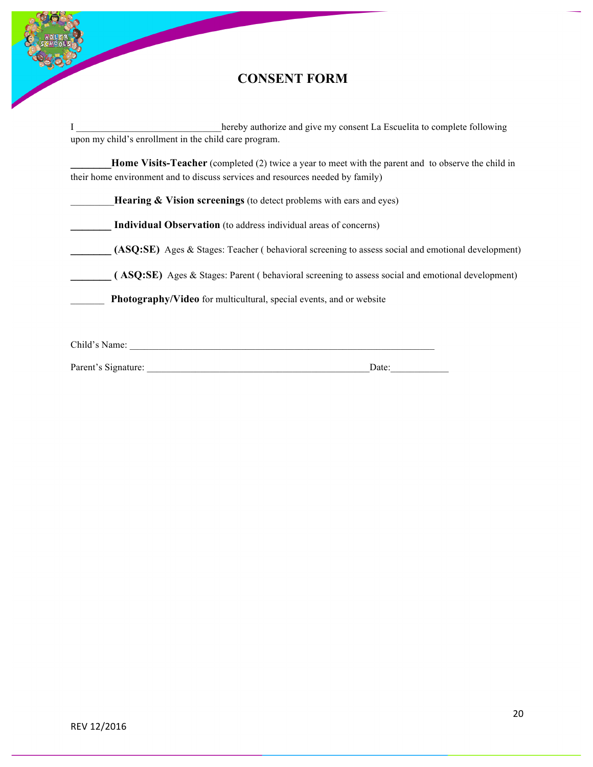

# **CONSENT FORM**

I hereby authorize and give my consent La Escuelita to complete following upon my child's enrollment in the child care program.

**Home Visits-Teacher** (completed (2) twice a year to meet with the parent and to observe the child in their home environment and to discuss services and resources needed by family)

**Individual Observation** (to address individual areas of concerns)

**(ASQ:SE)** Ages & Stages: Teacher ( behavioral screening to assess social and emotional development)

**\_\_\_\_\_\_\_ ( ASQ:SE)** Ages & Stages: Parent ( behavioral screening to assess social and emotional development)

**Photography/Video** for multicultural, special events, and or website

Child's Name: \_\_\_\_\_\_\_\_\_\_\_\_\_\_\_\_\_\_\_\_\_\_\_\_\_\_\_\_\_\_\_\_\_\_\_\_\_\_\_\_\_\_\_\_\_\_\_\_\_\_\_\_\_\_\_\_\_\_\_\_\_\_\_

Parent's Signature:  $\Box$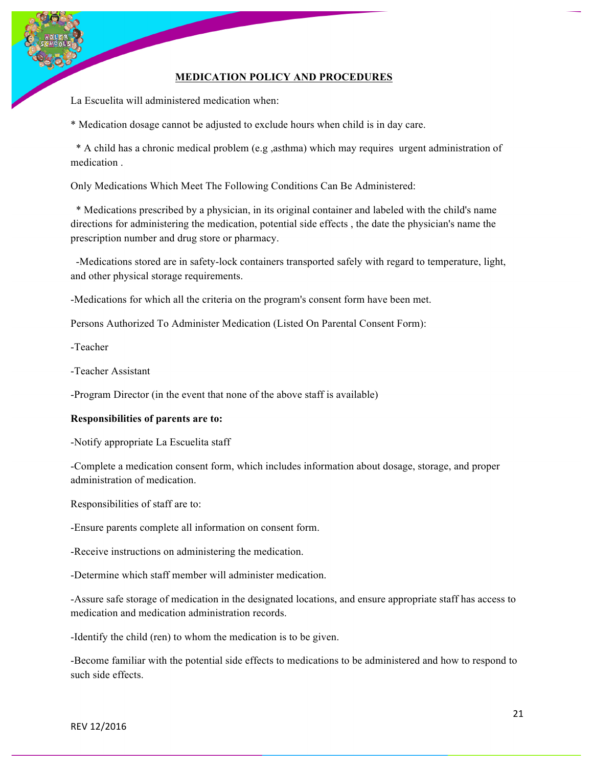### **MEDICATION POLICY AND PROCEDURES**

La Escuelita will administered medication when:

\* Medication dosage cannot be adjusted to exclude hours when child is in day care.

 \* A child has a chronic medical problem (e.g ,asthma) which may requires urgent administration of medication .

Only Medications Which Meet The Following Conditions Can Be Administered:

 \* Medications prescribed by a physician, in its original container and labeled with the child's name directions for administering the medication, potential side effects , the date the physician's name the prescription number and drug store or pharmacy.

 -Medications stored are in safety-lock containers transported safely with regard to temperature, light, and other physical storage requirements.

-Medications for which all the criteria on the program's consent form have been met.

Persons Authorized To Administer Medication (Listed On Parental Consent Form):

-Teacher

-Teacher Assistant

-Program Director (in the event that none of the above staff is available)

#### **Responsibilities of parents are to:**

-Notify appropriate La Escuelita staff

-Complete a medication consent form, which includes information about dosage, storage, and proper administration of medication.

Responsibilities of staff are to:

-Ensure parents complete all information on consent form.

-Receive instructions on administering the medication.

-Determine which staff member will administer medication.

-Assure safe storage of medication in the designated locations, and ensure appropriate staff has access to medication and medication administration records.

-Identify the child (ren) to whom the medication is to be given.

-Become familiar with the potential side effects to medications to be administered and how to respond to such side effects.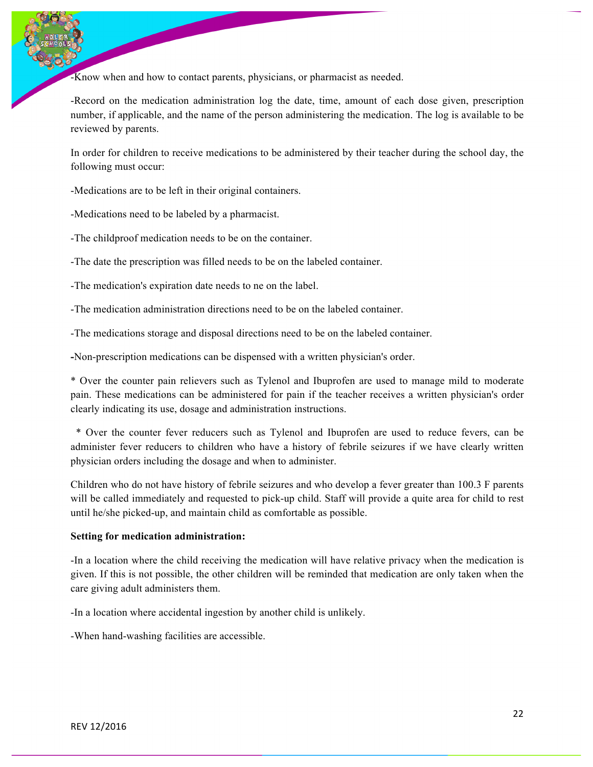-Know when and how to contact parents, physicians, or pharmacist as needed.

-Record on the medication administration log the date, time, amount of each dose given, prescription number, if applicable, and the name of the person administering the medication. The log is available to be reviewed by parents.

In order for children to receive medications to be administered by their teacher during the school day, the following must occur:

-Medications are to be left in their original containers.

-Medications need to be labeled by a pharmacist.

-The childproof medication needs to be on the container.

-The date the prescription was filled needs to be on the labeled container.

-The medication's expiration date needs to ne on the label.

-The medication administration directions need to be on the labeled container.

-The medications storage and disposal directions need to be on the labeled container.

**-**Non-prescription medications can be dispensed with a written physician's order.

\* Over the counter pain relievers such as Tylenol and Ibuprofen are used to manage mild to moderate pain. These medications can be administered for pain if the teacher receives a written physician's order clearly indicating its use, dosage and administration instructions.

 \* Over the counter fever reducers such as Tylenol and Ibuprofen are used to reduce fevers, can be administer fever reducers to children who have a history of febrile seizures if we have clearly written physician orders including the dosage and when to administer.

Children who do not have history of febrile seizures and who develop a fever greater than 100.3 F parents will be called immediately and requested to pick-up child. Staff will provide a quite area for child to rest until he/she picked-up, and maintain child as comfortable as possible.

#### **Setting for medication administration:**

-In a location where the child receiving the medication will have relative privacy when the medication is given. If this is not possible, the other children will be reminded that medication are only taken when the care giving adult administers them.

-In a location where accidental ingestion by another child is unlikely.

-When hand-washing facilities are accessible.